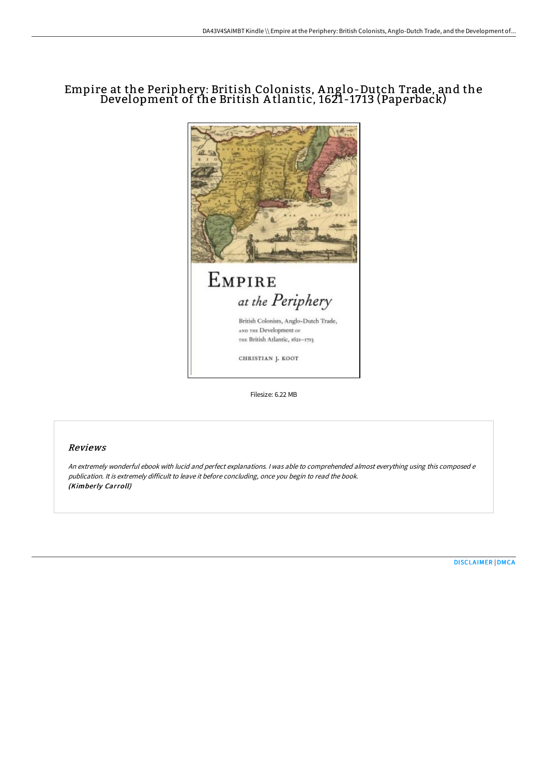# Empire at the Periphery: British Colonists, A nglo-Dutch Trade, and the Development of the British A tlantic, 1621-1713 (Paperback)



Filesize: 6.22 MB

### Reviews

An extremely wonderful ebook with lucid and perfect explanations. <sup>I</sup> was able to comprehended almost everything using this composed <sup>e</sup> publication. It is extremely difficult to leave it before concluding, once you begin to read the book. (Kimberly Carroll)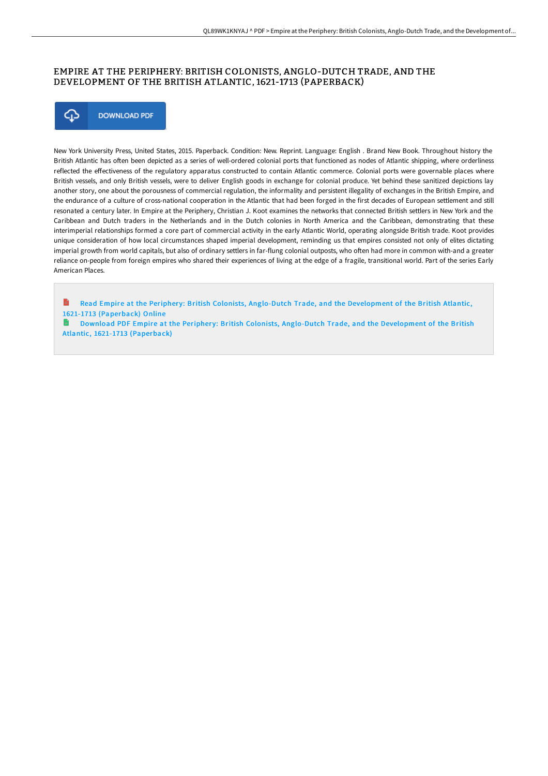## EMPIRE AT THE PERIPHERY: BRITISH COLONISTS, ANGLO-DUTCH TRADE, AND THE DEVELOPMENT OF THE BRITISH ATLANTIC, 1621-17 13 (PAPERBACK)



New York University Press, United States, 2015. Paperback. Condition: New. Reprint. Language: English . Brand New Book. Throughout history the British Atlantic has often been depicted as a series of well-ordered colonial ports that functioned as nodes of Atlantic shipping, where orderliness reflected the effectiveness of the regulatory apparatus constructed to contain Atlantic commerce. Colonial ports were governable places where British vessels, and only British vessels, were to deliver English goods in exchange for colonial produce. Yet behind these sanitized depictions lay another story, one about the porousness of commercial regulation, the informality and persistent illegality of exchanges in the British Empire, and the endurance of a culture of cross-national cooperation in the Atlantic that had been forged in the first decades of European settlement and still resonated a century later. In Empire at the Periphery, Christian J. Koot examines the networks that connected British settlers in New York and the Caribbean and Dutch traders in the Netherlands and in the Dutch colonies in North America and the Caribbean, demonstrating that these interimperial relationships formed a core part of commercial activity in the early Atlantic World, operating alongside British trade. Koot provides unique consideration of how local circumstances shaped imperial development, reminding us that empires consisted not only of elites dictating imperial growth from world capitals, but also of ordinary settlers in far-flung colonial outposts, who often had more in common with-and a greater reliance on-people from foreign empires who shared their experiences of living at the edge of a fragile, transitional world. Part of the series Early American Places.

B Read Empire at the Periphery: British Colonists, Anglo-Dutch Trade, and the [Development](http://techno-pub.tech/empire-at-the-periphery-british-colonists-anglo-.html) of the British Atlantic, 1621-1713 (Paperback) Online

**Download PDF Empire at the Periphery: British Colonists, Anglo-Dutch Trade, and the [Development](http://techno-pub.tech/empire-at-the-periphery-british-colonists-anglo-.html) of the British** Atlantic, 1621-1713 (Paperback)